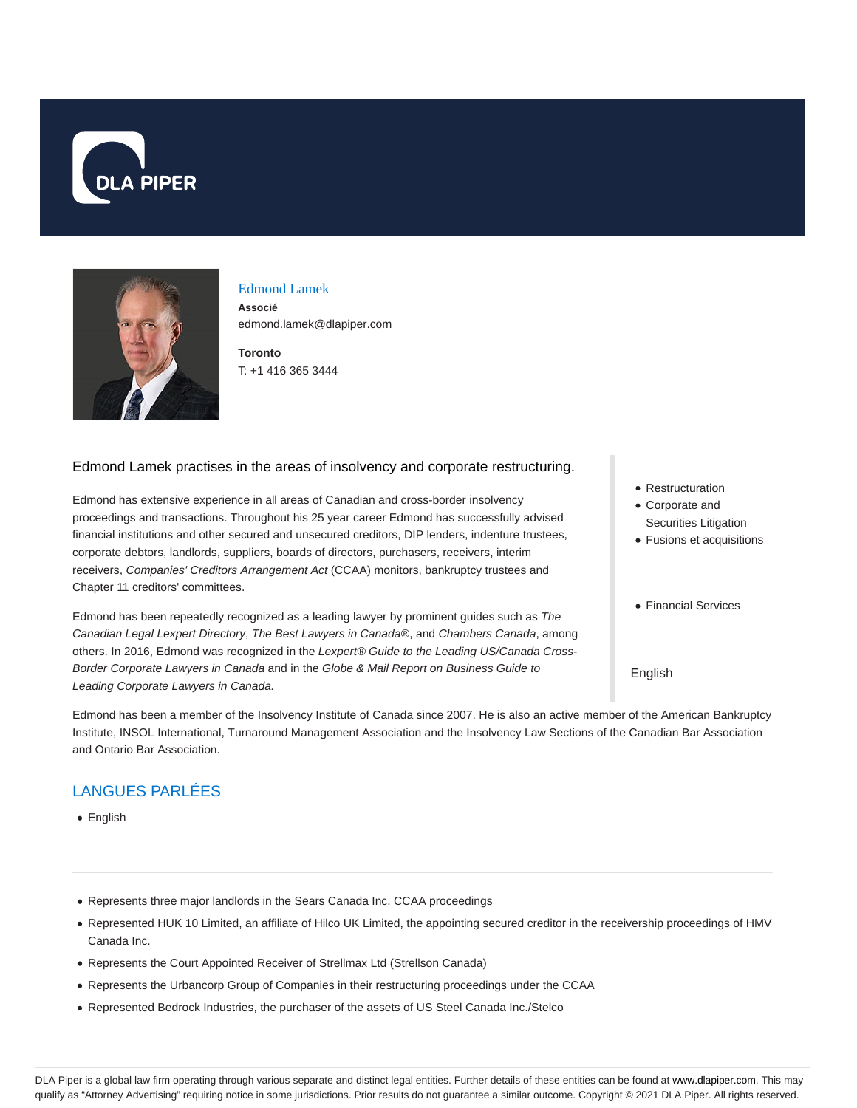



### Edmond Lamek

**Associé** edmond.lamek@dlapiper.com

**Toronto** T: +1 416 365 3444

### Edmond Lamek practises in the areas of insolvency and corporate restructuring.

Edmond has extensive experience in all areas of Canadian and cross-border insolvency proceedings and transactions. Throughout his 25 year career Edmond has successfully advised financial institutions and other secured and unsecured creditors, DIP lenders, indenture trustees, corporate debtors, landlords, suppliers, boards of directors, purchasers, receivers, interim receivers, Companies' Creditors Arrangement Act (CCAA) monitors, bankruptcy trustees and Chapter 11 creditors' committees.

Edmond has been repeatedly recognized as a leading lawyer by prominent guides such as The Canadian Legal Lexpert Directory, The Best Lawyers in Canada®, and Chambers Canada, among others. In 2016, Edmond was recognized in the Lexpert® Guide to the Leading US/Canada Cross-Border Corporate Lawyers in Canada and in the Globe & Mail Report on Business Guide to Leading Corporate Lawyers in Canada.

- Restructuration
- Corporate and Securities Litigation
- Fusions et acquisitions
- Financial Services

#### English

Edmond has been a member of the Insolvency Institute of Canada since 2007. He is also an active member of the American Bankruptcy Institute, INSOL International, Turnaround Management Association and the Insolvency Law Sections of the Canadian Bar Association and Ontario Bar Association.

## LANGUES PARLÉES

• English

- Represents three major landlords in the Sears Canada Inc. CCAA proceedings
- Represented HUK 10 Limited, an affiliate of Hilco UK Limited, the appointing secured creditor in the receivership proceedings of HMV Canada Inc.
- Represents the Court Appointed Receiver of Strellmax Ltd (Strellson Canada)
- Represents the Urbancorp Group of Companies in their restructuring proceedings under the CCAA
- Represented Bedrock Industries, the purchaser of the assets of US Steel Canada Inc./Stelco

DLA Piper is a global law firm operating through various separate and distinct legal entities. Further details of these entities can be found at www.dlapiper.com. This may qualify as "Attorney Advertising" requiring notice in some jurisdictions. Prior results do not guarantee a similar outcome. Copyright © 2021 DLA Piper. All rights reserved.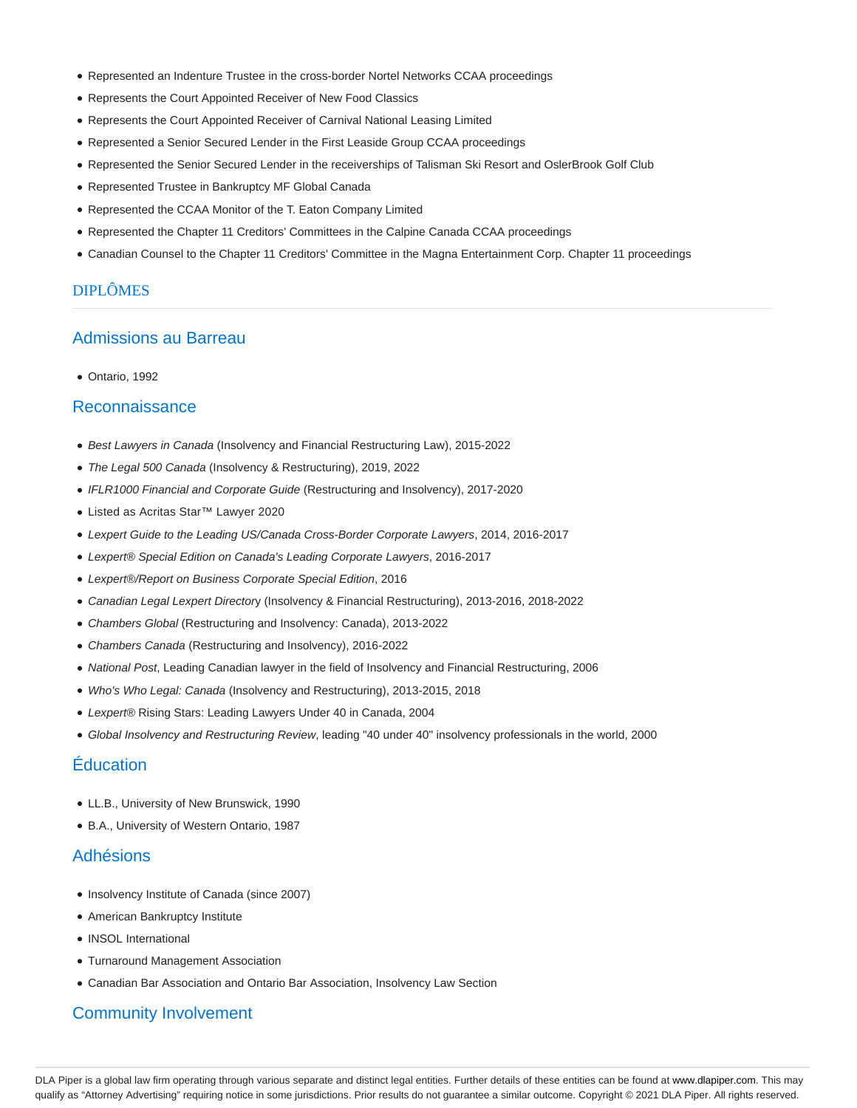- Represented an Indenture Trustee in the cross-border Nortel Networks CCAA proceedings
- Represents the Court Appointed Receiver of New Food Classics
- Represents the Court Appointed Receiver of Carnival National Leasing Limited
- Represented a Senior Secured Lender in the First Leaside Group CCAA proceedings
- Represented the Senior Secured Lender in the receiverships of Talisman Ski Resort and OslerBrook Golf Club
- Represented Trustee in Bankruptcy MF Global Canada
- Represented the CCAA Monitor of the T. Eaton Company Limited
- Represented the Chapter 11 Creditors' Committees in the Calpine Canada CCAA proceedings
- Canadian Counsel to the Chapter 11 Creditors' Committee in the Magna Entertainment Corp. Chapter 11 proceedings

### DIPLÔMES

## Admissions au Barreau

Ontario, 1992

### Reconnaissance

- **Best Lawyers in Canada (Insolvency and Financial Restructuring Law), 2015-2022**
- The Legal 500 Canada (Insolvency & Restructuring), 2019, 2022
- IFLR1000 Financial and Corporate Guide (Restructuring and Insolvency), 2017-2020
- Listed as Acritas Star™ Lawyer 2020
- Lexpert Guide to the Leading US/Canada Cross-Border Corporate Lawyers, 2014, 2016-2017
- Lexpert® Special Edition on Canada's Leading Corporate Lawyers, 2016-2017
- Lexpert®/Report on Business Corporate Special Edition, 2016
- Canadian Legal Lexpert Directory (Insolvency & Financial Restructuring), 2013-2016, 2018-2022
- Chambers Global (Restructuring and Insolvency: Canada), 2013-2022
- Chambers Canada (Restructuring and Insolvency), 2016-2022
- National Post, Leading Canadian lawyer in the field of Insolvency and Financial Restructuring, 2006
- Who's Who Legal: Canada (Insolvency and Restructuring), 2013-2015, 2018
- Lexpert® Rising Stars: Leading Lawyers Under 40 in Canada, 2004
- Global Insolvency and Restructuring Review, leading "40 under 40" insolvency professionals in the world, 2000

### Éducation

- LL.B., University of New Brunswick, 1990
- B.A., University of Western Ontario, 1987

### Adhésions

- Insolvency Institute of Canada (since 2007)
- American Bankruptcy Institute
- INSOL International
- Turnaround Management Association
- Canadian Bar Association and Ontario Bar Association, Insolvency Law Section

### Community Involvement